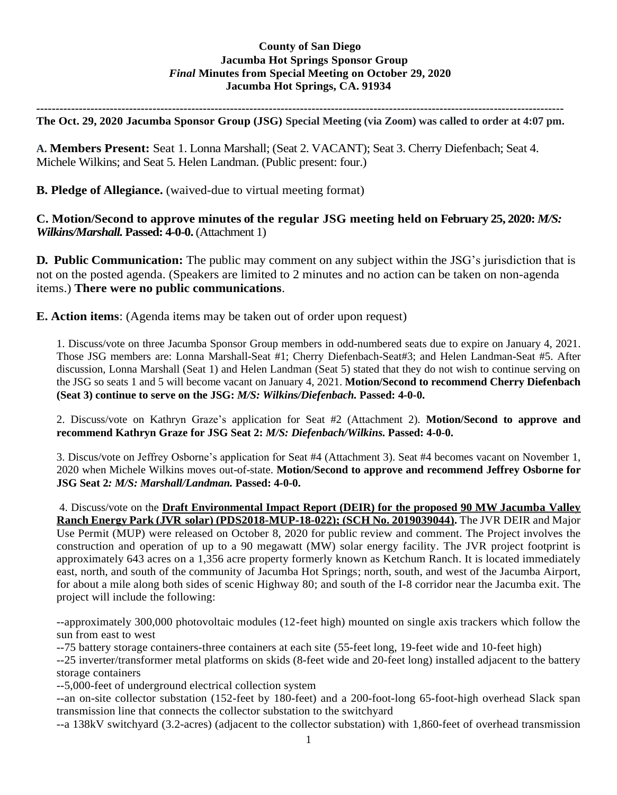## **County of San Diego Jacumba Hot Springs Sponsor Group** *Final* **Minutes from Special Meeting on October 29, 2020 Jacumba Hot Springs, CA. 91934**

**----------------------------------------------------------------------------------------------------------------------------------------**

**The Oct. 29, 2020 Jacumba Sponsor Group (JSG) Special Meeting (via Zoom) was called to order at 4:07 pm.**

**A. Members Present:** Seat 1. Lonna Marshall; (Seat 2. VACANT); Seat 3. Cherry Diefenbach; Seat 4. Michele Wilkins; and Seat 5. Helen Landman. (Public present: four.)

**B. Pledge of Allegiance.** (waived-due to virtual meeting format)

**C. Motion/Second to approve minutes of the regular JSG meeting held on February 25, 2020:** *M/S: Wilkins/Marshall.* **Passed: 4-0-0.** (Attachment 1)

**D. Public Communication:** The public may comment on any subject within the JSG's jurisdiction that is not on the posted agenda. (Speakers are limited to 2 minutes and no action can be taken on non-agenda items.) **There were no public communications**.

**E. Action items**: (Agenda items may be taken out of order upon request)

1. Discuss/vote on three Jacumba Sponsor Group members in odd-numbered seats due to expire on January 4, 2021. Those JSG members are: Lonna Marshall-Seat #1; Cherry Diefenbach-Seat#3; and Helen Landman-Seat #5. After discussion, Lonna Marshall (Seat 1) and Helen Landman (Seat 5) stated that they do not wish to continue serving on the JSG so seats 1 and 5 will become vacant on January 4, 2021. **Motion/Second to recommend Cherry Diefenbach (Seat 3) continue to serve on the JSG:** *M/S: Wilkins/Diefenbach.* **Passed: 4-0-0.**

2. Discuss/vote on Kathryn Graze's application for Seat #2 (Attachment 2). **Motion/Second to approve and recommend Kathryn Graze for JSG Seat 2:** *M/S: Diefenbach/Wilkins.* **Passed: 4-0-0.** 

3. Discus/vote on Jeffrey Osborne's application for Seat #4 (Attachment 3). Seat #4 becomes vacant on November 1, 2020 when Michele Wilkins moves out-of-state. **Motion/Second to approve and recommend Jeffrey Osborne for JSG Seat 2***: M/S: Marshall/Landman.* **Passed: 4-0-0.** 

4. Discuss/vote on the **Draft Environmental Impact Report (DEIR) for the proposed 90 MW Jacumba Valley Ranch Energy Park (JVR solar) (PDS2018-MUP-18-022); (SCH No. 2019039044).** The JVR DEIR and Major Use Permit (MUP) were released on October 8, 2020 for public review and comment. The Project involves the construction and operation of up to a 90 megawatt (MW) solar energy facility. The JVR project footprint is approximately 643 acres on a 1,356 acre property formerly known as Ketchum Ranch. It is located immediately east, north, and south of the community of Jacumba Hot Springs; north, south, and west of the Jacumba Airport, for about a mile along both sides of scenic Highway 80; and south of the I-8 corridor near the Jacumba exit. The project will include the following:

--approximately 300,000 photovoltaic modules (12-feet high) mounted on single axis trackers which follow the sun from east to west

--75 battery storage containers-three containers at each site (55-feet long, 19-feet wide and 10-feet high)

--25 inverter/transformer metal platforms on skids (8-feet wide and 20-feet long) installed adjacent to the battery storage containers

--5,000-feet of underground electrical collection system

--an on-site collector substation (152-feet by 180-feet) and a 200-foot-long 65-foot-high overhead Slack span transmission line that connects the collector substation to the switchyard

--a 138kV switchyard (3.2-acres) (adjacent to the collector substation) with 1,860-feet of overhead transmission